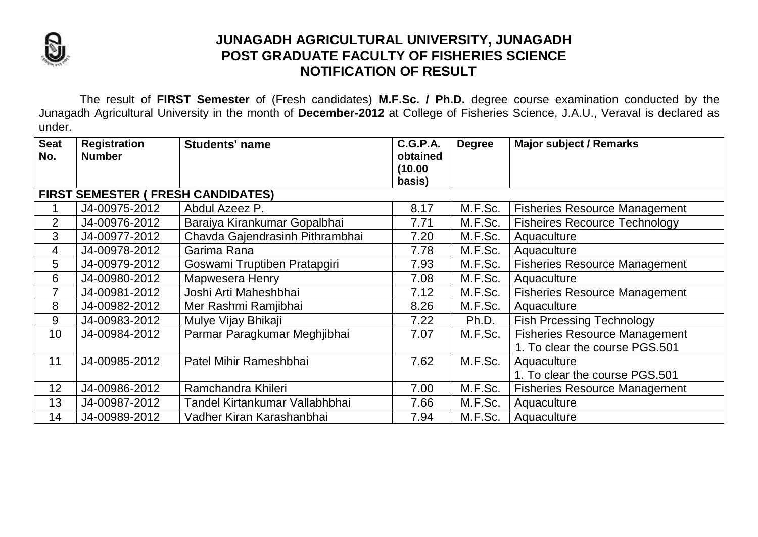

## **JUNAGADH AGRICULTURAL UNIVERSITY, JUNAGADH POST GRADUATE FACULTY OF FISHERIES SCIENCE NOTIFICATION OF RESULT**

The result of **FIRST Semester** of (Fresh candidates) **M.F.Sc. / Ph.D.** degree course examination conducted by the Junagadh Agricultural University in the month of **December-2012** at College of Fisheries Science, J.A.U., Veraval is declared as under.

| <b>Seat</b>                               | <b>Registration</b> | <b>Students' name</b>           | <b>C.G.P.A.</b> | <b>Degree</b> | <b>Major subject / Remarks</b>       |  |
|-------------------------------------------|---------------------|---------------------------------|-----------------|---------------|--------------------------------------|--|
| No.                                       | <b>Number</b>       |                                 | obtained        |               |                                      |  |
|                                           |                     |                                 | (10.00)         |               |                                      |  |
|                                           |                     |                                 | basis)          |               |                                      |  |
| <b>FIRST SEMESTER ( FRESH CANDIDATES)</b> |                     |                                 |                 |               |                                      |  |
|                                           | J4-00975-2012       | Abdul Azeez P.                  | 8.17            | M.F.Sc.       | <b>Fisheries Resource Management</b> |  |
| $\overline{2}$                            | J4-00976-2012       | Baraiya Kirankumar Gopalbhai    | 7.71            | M.F.Sc.       | <b>Fisheires Recource Technology</b> |  |
| 3                                         | J4-00977-2012       | Chavda Gajendrasinh Pithrambhai | 7.20            | M.F.Sc.       | Aquaculture                          |  |
| 4                                         | J4-00978-2012       | Garima Rana                     | 7.78            | M.F.Sc.       | Aquaculture                          |  |
| 5                                         | J4-00979-2012       | Goswami Truptiben Pratapgiri    | 7.93            | M.F.Sc.       | <b>Fisheries Resource Management</b> |  |
| 6                                         | J4-00980-2012       | Mapwesera Henry                 | 7.08            | M.F.Sc.       | Aquaculture                          |  |
| 7                                         | J4-00981-2012       | Joshi Arti Maheshbhai           | 7.12            | M.F.Sc.       | <b>Fisheries Resource Management</b> |  |
| 8                                         | J4-00982-2012       | Mer Rashmi Ramjibhai            | 8.26            | M.F.Sc.       | Aquaculture                          |  |
| 9                                         | J4-00983-2012       | Mulye Vijay Bhikaji             | 7.22            | Ph.D.         | <b>Fish Prcessing Technology</b>     |  |
| 10                                        | J4-00984-2012       | Parmar Paragkumar Meghjibhai    | 7.07            | M.F.Sc.       | <b>Fisheries Resource Management</b> |  |
|                                           |                     |                                 |                 |               | 1. To clear the course PGS.501       |  |
| 11                                        | J4-00985-2012       | Patel Mihir Rameshbhai          | 7.62            | M.F.Sc.       | Aquaculture                          |  |
|                                           |                     |                                 |                 |               | 1. To clear the course PGS.501       |  |
| 12                                        | J4-00986-2012       | Ramchandra Khileri              | 7.00            | M.F.Sc.       | <b>Fisheries Resource Management</b> |  |
| 13                                        | J4-00987-2012       | Tandel Kirtankumar Vallabhbhai  | 7.66            | M.F.Sc.       | Aquaculture                          |  |
| 14                                        | J4-00989-2012       | Vadher Kiran Karashanbhai       | 7.94            | M.F.Sc.       | Aquaculture                          |  |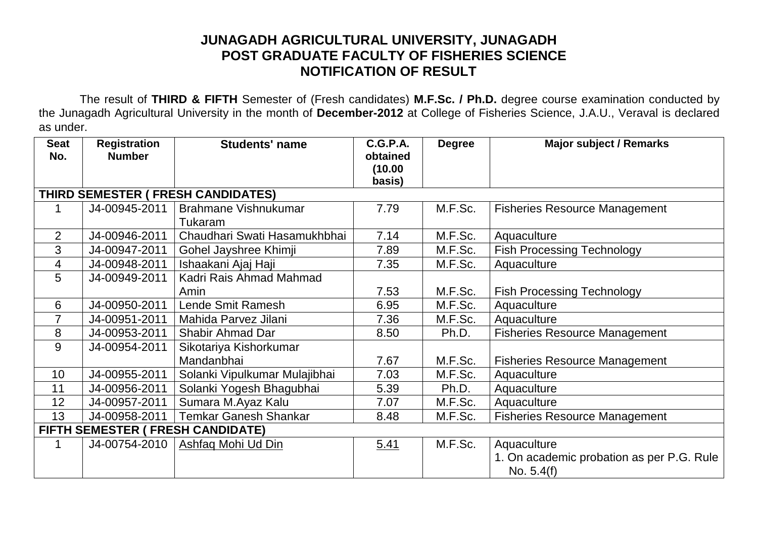## **JUNAGADH AGRICULTURAL UNIVERSITY, JUNAGADH POST GRADUATE FACULTY OF FISHERIES SCIENCE NOTIFICATION OF RESULT**

The result of **THIRD & FIFTH** Semester of (Fresh candidates) **M.F.Sc. / Ph.D.** degree course examination conducted by the Junagadh Agricultural University in the month of **December-2012** at College of Fisheries Science, J.A.U., Veraval is declared as under.

| <b>Seat</b>                        | <b>Registration</b> | <b>Students' name</b>                    | <b>C.G.P.A.</b>     | <b>Degree</b> | <b>Major subject / Remarks</b>            |  |  |  |
|------------------------------------|---------------------|------------------------------------------|---------------------|---------------|-------------------------------------------|--|--|--|
| No.                                | <b>Number</b>       |                                          | obtained<br>(10.00) |               |                                           |  |  |  |
|                                    |                     |                                          | basis)              |               |                                           |  |  |  |
| THIRD SEMESTER ( FRESH CANDIDATES) |                     |                                          |                     |               |                                           |  |  |  |
| 1                                  | J4-00945-2011       | <b>Brahmane Vishnukumar</b>              | 7.79                | M.F.Sc.       | <b>Fisheries Resource Management</b>      |  |  |  |
|                                    |                     | Tukaram                                  |                     |               |                                           |  |  |  |
| $\overline{2}$                     | J4-00946-2011       | Chaudhari Swati Hasamukhbhai             | 7.14                | M.F.Sc.       | Aquaculture                               |  |  |  |
| 3                                  | J4-00947-2011       | Gohel Jayshree Khimji                    | 7.89                | M.F.Sc.       | <b>Fish Processing Technology</b>         |  |  |  |
| 4                                  | J4-00948-2011       | Ishaakani Ajaj Haji                      | 7.35                | M.F.Sc.       | Aquaculture                               |  |  |  |
| 5                                  | J4-00949-2011       | Kadri Rais Ahmad Mahmad                  |                     |               |                                           |  |  |  |
|                                    |                     | Amin                                     | 7.53                | M.F.Sc.       | <b>Fish Processing Technology</b>         |  |  |  |
| 6                                  | J4-00950-2011       | Lende Smit Ramesh                        | 6.95                | M.F.Sc.       | Aquaculture                               |  |  |  |
| $\overline{7}$                     | J4-00951-2011       | Mahida Parvez Jilani                     | 7.36                | M.F.Sc.       | Aquaculture                               |  |  |  |
| 8                                  | J4-00953-2011       | <b>Shabir Ahmad Dar</b>                  | 8.50                | Ph.D.         | <b>Fisheries Resource Management</b>      |  |  |  |
| 9                                  | J4-00954-2011       | Sikotariya Kishorkumar                   |                     |               |                                           |  |  |  |
|                                    |                     | Mandanbhai                               | 7.67                | M.F.Sc.       | <b>Fisheries Resource Management</b>      |  |  |  |
| 10                                 | J4-00955-2011       | Solanki Vipulkumar Mulajibhai            | 7.03                | M.F.Sc.       | Aquaculture                               |  |  |  |
| 11                                 | J4-00956-2011       | Solanki Yogesh Bhagubhai                 | 5.39                | Ph.D.         | Aquaculture                               |  |  |  |
| 12                                 | J4-00957-2011       | Sumara M.Ayaz Kalu                       | 7.07                | M.F.Sc.       | Aquaculture                               |  |  |  |
| 13                                 | J4-00958-2011       | <b>Temkar Ganesh Shankar</b>             | 8.48                | M.F.Sc.       | <b>Fisheries Resource Management</b>      |  |  |  |
|                                    |                     | <b>FIFTH SEMESTER ( FRESH CANDIDATE)</b> |                     |               |                                           |  |  |  |
| 1                                  | J4-00754-2010       | <b>Ashfaq Mohi Ud Din</b>                | 5.41                | M.F.Sc.       | Aquaculture                               |  |  |  |
|                                    |                     |                                          |                     |               | 1. On academic probation as per P.G. Rule |  |  |  |
|                                    |                     |                                          |                     |               | No. $5.4(f)$                              |  |  |  |